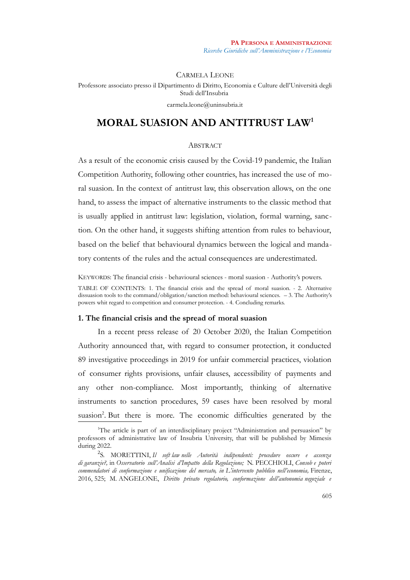CARMELA LEONE Professore associato presso il Dipartimento di Diritto, Economia e Culture dell'Università degli Studi dell'Insubria carmela.leone@uninsubria.it

# **MORAL SUASION AND ANTITRUST LAW[1](#page-0-0)**

### **ABSTRACT**

As a result of the economic crisis caused by the Covid-19 pandemic, the Italian Competition Authority, following other countries, has increased the use of moral suasion. In the context of antitrust law, this observation allows, on the one hand, to assess the impact of alternative instruments to the classic method that is usually applied in antitrust law: legislation, violation, formal warning, sanction. On the other hand, it suggests shifting attention from rules to behaviour, based on the belief that behavioural dynamics between the logical and mandatory contents of the rules and the actual consequences are underestimated.

KEYWORDS: The financial crisis - behavioural sciences - moral suasion - Authority's powers. TABLE OF CONTENTS: 1. The financial crisis and the spread of moral suasion. - 2. Alternative dissuasion tools to the command/obligation/sanction method: behavioural sciences. – 3. The Authority's powers whit regard to competition and consumer protection. - 4. Concluding remarks.

### **1. The financial crisis and the spread of moral suasion**

In a recent press release of 20 October 2020, the Italian Competition Authority announced that, with regard to consumer protection, it conducted 89 investigative proceedings in 2019 for unfair commercial practices, violation of consumer rights provisions, unfair clauses, accessibility of payments and any other non-compliance. Most importantly, thinking of alternative instruments to sanction procedures, 59 cases have been resolved by moral suasion<sup>[2](#page-0-1)</sup>. But there is more. The economic difficulties generated by the

<span id="page-0-0"></span><sup>&</sup>lt;sup>1</sup>The article is part of an interdisciplinary project "Administration and persuasion" by professors of administrative law of Insubria University, that will be published by Mimesis during 2022.

<span id="page-0-1"></span><sup>2</sup> S. MORETTINI, *Il soft law nelle Autorità indipendenti: procedure oscure e assenza di garanzie?,* in *Osservatorio sull'Analisi d'Impatto della Regolazione;* N. PECCHIOLI, *Consob e poteri commendatori di conformazione e unificazione del mercato, in L'intervento pubblico nell'economia,* Firenze, 2016, 525; M. ANGELONE, *Diritto privato regolatorio, conformazione dell'autonomia negoziale e*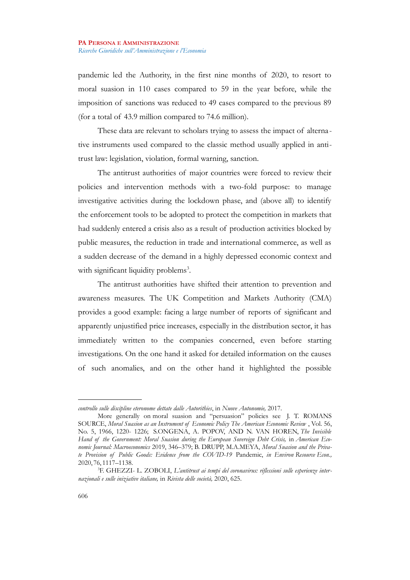pandemic led the Authority, in the first nine months of 2020, to resort to moral suasion in 110 cases compared to 59 in the year before, while the imposition of sanctions was reduced to 49 cases compared to the previous 89 (for a total of 43.9 million compared to 74.6 million).

These data are relevant to scholars trying to assess the impact of alterna tive instruments used compared to the classic method usually applied in antitrust law: legislation, violation, formal warning, sanction.

The antitrust authorities of major countries were forced to review their policies and intervention methods with a two-fold purpose: to manage investigative activities during the lockdown phase, and (above all) to identify the enforcement tools to be adopted to protect the competition in markets that had suddenly entered a crisis also as a result of production activities blocked by public measures, the reduction in trade and international commerce, as well as a sudden decrease of the demand in a highly depressed economic context and with significant liquidity problems<sup>[3](#page-1-0)</sup>.

The antitrust authorities have shifted their attention to prevention and awareness measures. The UK Competition and Markets Authority (CMA) provides a good example: facing a large number of reports of significant and apparently unjustified price increases, especially in the distribution sector, it has immediately written to the companies concerned, even before starting investigations. On the one hand it asked for detailed information on the causes of such anomalies, and on the other hand it highlighted the possible

*controllo sulle discipline eteronome dettate dalle Autorithies*, in *Nuove Autonomie,* 2017.

More generally on moral suasion and "persuasion" policies see J. T. ROMANS SOURCE, *Moral Suasion as an Instrument of Economic Policy The American Economic Review* , Vol. 56, No. 5, 1966, 1220- 1226; S.ONGENA, A. POPOV, AND N. VAN HOREN, *The Invisible Hand of the Government: Moral Suasion during the European Sovereign Debt Crisis,* in *American Economic Journal: Macroeconomics* 2019, 346–379; B. DRUPP, M.A.MEYA, *Moral Suasion and the Private Provision of Public Goods: Evidence from the COVID-19* Pandemic, *in Environ Resource Econ.,* 2020, 76, 1117–1138.

<span id="page-1-0"></span><sup>3</sup>F. GHEZZI- L. ZOBOLI, *L'antitrust ai tempi del coronavirus: riflessioni sulle esperienze internazionali e sulle iniziative italiane,* in *Rivista delle società,* 2020, 625.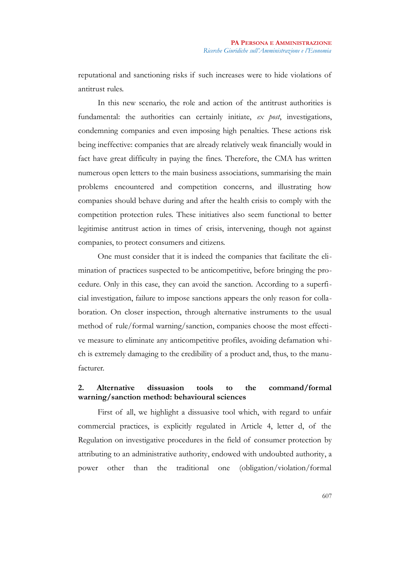reputational and sanctioning risks if such increases were to hide violations of antitrust rules.

In this new scenario, the role and action of the antitrust authorities is fundamental: the authorities can certainly initiate, *ex post*, investigations, condemning companies and even imposing high penalties. These actions risk being ineffective: companies that are already relatively weak financially would in fact have great difficulty in paying the fines. Therefore, the CMA has written numerous open letters to the main business associations, summarising the main problems encountered and competition concerns, and illustrating how companies should behave during and after the health crisis to comply with the competition protection rules. These initiatives also seem functional to better legitimise antitrust action in times of crisis, intervening, though not against companies, to protect consumers and citizens.

One must consider that it is indeed the companies that facilitate the elimination of practices suspected to be anticompetitive, before bringing the procedure. Only in this case, they can avoid the sanction. According to a superficial investigation, failure to impose sanctions appears the only reason for collaboration. On closer inspection, through alternative instruments to the usual method of rule/formal warning/sanction, companies choose the most effective measure to eliminate any anticompetitive profiles, avoiding defamation which is extremely damaging to the credibility of a product and, thus, to the manufacturer.

# **2. Alternative dissuasion tools to the command/formal warning/sanction method: behavioural sciences**

First of all, we highlight a dissuasive tool which, with regard to unfair commercial practices, is explicitly regulated in Article 4, letter d, of the Regulation on investigative procedures in the field of consumer protection by attributing to an administrative authority, endowed with undoubted authority, a power other than the traditional one (obligation/violation/formal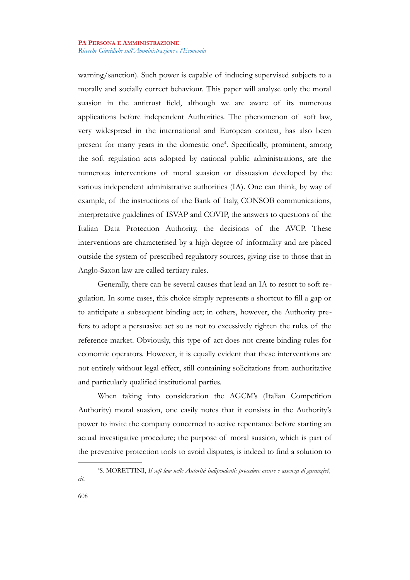warning/sanction). Such power is capable of inducing supervised subjects to a morally and socially correct behaviour. This paper will analyse only the moral suasion in the antitrust field, although we are aware of its numerous applications before independent Authorities. The phenomenon of soft law, very widespread in the international and European context, has also been present for many years in the domestic one<sup>[4](#page-3-0)</sup>. Specifically, prominent, among the soft regulation acts adopted by national public administrations, are the numerous interventions of moral suasion or dissuasion developed by the various independent administrative authorities (IA). One can think, by way of example, of the instructions of the Bank of Italy, CONSOB communications, interpretative guidelines of ISVAP and COVIP, the answers to questions of the Italian Data Protection Authority, the decisions of the AVCP. These interventions are characterised by a high degree of informality and are placed outside the system of prescribed regulatory sources, giving rise to those that in Anglo-Saxon law are called tertiary rules.

Generally, there can be several causes that lead an IA to resort to soft regulation. In some cases, this choice simply represents a shortcut to fill a gap or to anticipate a subsequent binding act; in others, however, the Authority prefers to adopt a persuasive act so as not to excessively tighten the rules of the reference market. Obviously, this type of act does not create binding rules for economic operators. However, it is equally evident that these interventions are not entirely without legal effect, still containing solicitations from authoritative and particularly qualified institutional parties.

When taking into consideration the AGCM's (Italian Competition Authority) moral suasion, one easily notes that it consists in the Authority's power to invite the company concerned to active repentance before starting an actual investigative procedure; the purpose of moral suasion, which is part of the preventive protection tools to avoid disputes, is indeed to find a solution to

<span id="page-3-0"></span><sup>4</sup> S. MORETTINI, *Il soft law nelle Autorità indipendenti: procedure oscure e assenza di garanzie?, cit*.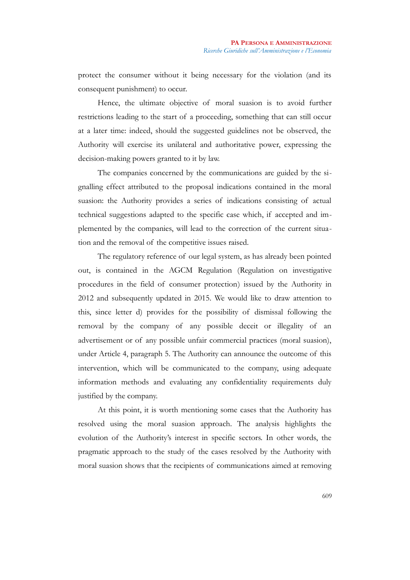protect the consumer without it being necessary for the violation (and its consequent punishment) to occur.

Hence, the ultimate objective of moral suasion is to avoid further restrictions leading to the start of a proceeding, something that can still occur at a later time: indeed, should the suggested guidelines not be observed, the Authority will exercise its unilateral and authoritative power, expressing the decision-making powers granted to it by law.

The companies concerned by the communications are guided by the signalling effect attributed to the proposal indications contained in the moral suasion: the Authority provides a series of indications consisting of actual technical suggestions adapted to the specific case which, if accepted and implemented by the companies, will lead to the correction of the current situation and the removal of the competitive issues raised.

The regulatory reference of our legal system, as has already been pointed out, is contained in the AGCM Regulation (Regulation on investigative procedures in the field of consumer protection) issued by the Authority in 2012 and subsequently updated in 2015. We would like to draw attention to this, since letter d) provides for the possibility of dismissal following the removal by the company of any possible deceit or illegality of an advertisement or of any possible unfair commercial practices (moral suasion), under Article 4, paragraph 5. The Authority can announce the outcome of this intervention, which will be communicated to the company, using adequate information methods and evaluating any confidentiality requirements duly justified by the company.

At this point, it is worth mentioning some cases that the Authority has resolved using the moral suasion approach. The analysis highlights the evolution of the Authority's interest in specific sectors. In other words, the pragmatic approach to the study of the cases resolved by the Authority with moral suasion shows that the recipients of communications aimed at removing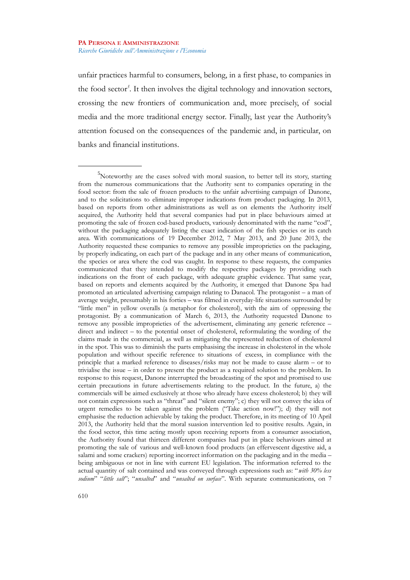unfair practices harmful to consumers, belong, in a first phase, to companies in the food sector*[5](#page-5-0)* . It then involves the digital technology and innovation sectors, crossing the new frontiers of communication and, more precisely, of social media and the more traditional energy sector. Finally, last year the Authority's attention focused on the consequences of the pandemic and, in particular, on banks and financial institutions.

<span id="page-5-0"></span><sup>&</sup>lt;sup>5</sup>Noteworthy are the cases solved with moral suasion, to better tell its story, starting from the numerous communications that the Authority sent to companies operating in the food sector: from the sale of frozen products to the unfair advertising campaign of Danone, and to the solicitations to eliminate improper indications from product packaging. In 2013, based on reports from other administrations as well as on elements the Authority itself acquired, the Authority held that several companies had put in place behaviours aimed at promoting the sale of frozen cod-based products, variously denominated with the name "cod", without the packaging adequately listing the exact indication of the fish species or its catch area. With communications of 19 December 2012, 7 May 2013, and 20 June 2013, the Authority requested these companies to remove any possible improprieties on the packaging, by properly indicating, on each part of the package and in any other means of communication, the species or area where the cod was caught. In response to these requests, the companies communicated that they intended to modify the respective packages by providing such indications on the front of each package, with adequate graphic evidence. That same year, based on reports and elements acquired by the Authority, it emerged that Danone Spa had promoted an articulated advertising campaign relating to Danacol. The protagonist – a man of average weight, presumably in his forties – was filmed in everyday-life situations surrounded by "little men" in yellow overalls (a metaphor for cholesterol), with the aim of oppressing the protagonist. By a communication of March 6, 2013, the Authority requested Danone to remove any possible improprieties of the advertisement, eliminating any generic reference – direct and indirect – to the potential onset of cholesterol, reformulating the wording of the claims made in the commercial, as well as mitigating the represented reduction of cholesterol in the spot. This was to diminish the parts emphasising the increase in cholesterol in the whole population and without specific reference to situations of excess, in compliance with the principle that a marked reference to diseases/risks may not be made to cause alarm – or to trivialise the issue – in order to present the product as a required solution to the problem. In response to this request, Danone interrupted the broadcasting of the spot and promised to use certain precautions in future advertisements relating to the product. In the future, a) the commercials will be aimed exclusively at those who already have excess cholesterol; b) they will not contain expressions such as "threat" and "silent enemy"; c) they will not convey the idea of urgent remedies to be taken against the problem ("Take action now!"); d) they will not emphasise the reduction achievable by taking the product. Therefore, in its meeting of 10 April 2013, the Authority held that the moral suasion intervention led to positive results. Again, in the food sector, this time acting mostly upon receiving reports from a consumer association, the Authority found that thirteen different companies had put in place behaviours aimed at promoting the sale of various and well-known food products (an effervescent digestive aid, a salami and some crackers) reporting incorrect information on the packaging and in the media – being ambiguous or not in line with current EU legislation. The information referred to the actual quantity of salt contained and was conveyed through expressions such as: "*with 30% less sodium*" "*little salt*"; "*unsalted*" and "*unsalted on surface*". With separate communications, on 7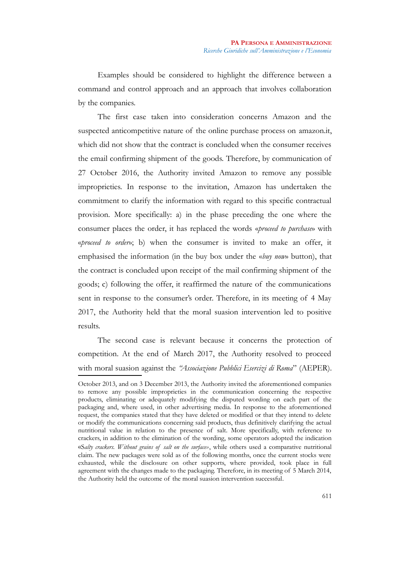Examples should be considered to highlight the difference between a command and control approach and an approach that involves collaboration by the companies.

The first case taken into consideration concerns Amazon and the suspected anticompetitive nature of the online purchase process on amazon.it, which did not show that the contract is concluded when the consumer receives the email confirming shipment of the goods. Therefore, by communication of 27 October 2016, the Authority invited Amazon to remove any possible improprieties. In response to the invitation, Amazon has undertaken the commitment to clarify the information with regard to this specific contractual provision. More specifically: a) in the phase preceding the one where the consumer places the order, it has replaced the words «*proceed to purchase*» with «*proceed to order*»; b) when the consumer is invited to make an offer, it emphasised the information (in the buy box under the «*buy now*» button), that the contract is concluded upon receipt of the mail confirming shipment of the goods; c) following the offer, it reaffirmed the nature of the communications sent in response to the consumer's order. Therefore, in its meeting of 4 May 2017, the Authority held that the moral suasion intervention led to positive results.

The second case is relevant because it concerns the protection of competition. At the end of March 2017, the Authority resolved to proceed with moral suasion against the *"Associazione Pubblici Esercizi di Roma*" (AEPER).

October 2013, and on 3 December 2013, the Authority invited the aforementioned companies to remove any possible improprieties in the communication concerning the respective products, eliminating or adequately modifying the disputed wording on each part of the packaging and, where used, in other advertising media. In response to the aforementioned request, the companies stated that they have deleted or modified or that they intend to delete or modify the communications concerning said products, thus definitively clarifying the actual nutritional value in relation to the presence of salt. More specifically, with reference to crackers, in addition to the elimination of the wording, some operators adopted the indication «S*alty crackers. Without grains of salt on the surface»*, while others used a comparative nutritional claim. The new packages were sold as of the following months, once the current stocks were exhausted, while the disclosure on other supports, where provided, took place in full agreement with the changes made to the packaging. Therefore, in its meeting of 5 March 2014, the Authority held the outcome of the moral suasion intervention successful.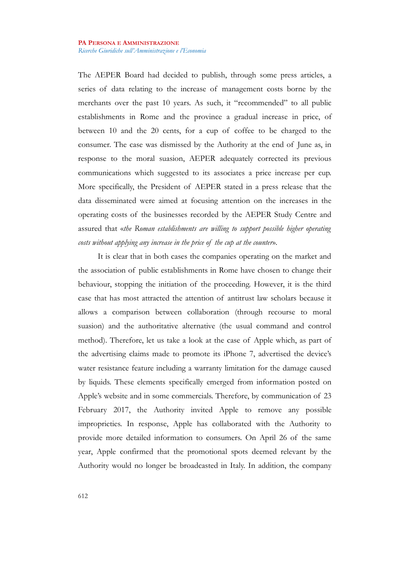The AEPER Board had decided to publish, through some press articles, a series of data relating to the increase of management costs borne by the merchants over the past 10 years. As such, it "recommended" to all public establishments in Rome and the province a gradual increase in price, of between 10 and the 20 cents, for a cup of coffee to be charged to the consumer. The case was dismissed by the Authority at the end of June as, in response to the moral suasion, AEPER adequately corrected its previous communications which suggested to its associates a price increase per cup. More specifically, the President of AEPER stated in a press release that the data disseminated were aimed at focusing attention on the increases in the operating costs of the businesses recorded by the AEPER Study Centre and assured that «*the Roman establishments are willing to support possible higher operating costs without applying any increase in the price of the cup at the counter*».

It is clear that in both cases the companies operating on the market and the association of public establishments in Rome have chosen to change their behaviour, stopping the initiation of the proceeding. However, it is the third case that has most attracted the attention of antitrust law scholars because it allows a comparison between collaboration (through recourse to moral suasion) and the authoritative alternative (the usual command and control method). Therefore, let us take a look at the case of Apple which, as part of the advertising claims made to promote its iPhone 7, advertised the device's water resistance feature including a warranty limitation for the damage caused by liquids. These elements specifically emerged from information posted on Apple's website and in some commercials. Therefore, by communication of 23 February 2017, the Authority invited Apple to remove any possible improprieties. In response, Apple has collaborated with the Authority to provide more detailed information to consumers. On April 26 of the same year, Apple confirmed that the promotional spots deemed relevant by the Authority would no longer be broadcasted in Italy. In addition, the company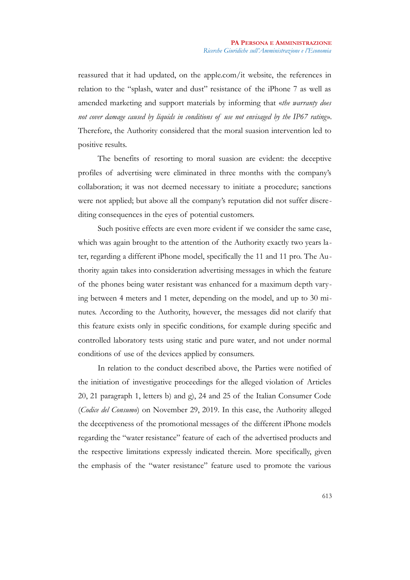reassured that it had updated, on the apple.com/it website, the references in relation to the "splash, water and dust" resistance of the iPhone 7 as well as amended marketing and support materials by informing that «*the warranty does not cover damage caused by liquids in conditions of use not envisaged by the IP67 rating*». Therefore, the Authority considered that the moral suasion intervention led to positive results.

The benefits of resorting to moral suasion are evident: the deceptive profiles of advertising were eliminated in three months with the company's collaboration; it was not deemed necessary to initiate a procedure; sanctions were not applied; but above all the company's reputation did not suffer discrediting consequences in the eyes of potential customers.

Such positive effects are even more evident if we consider the same case, which was again brought to the attention of the Authority exactly two years later, regarding a different iPhone model, specifically the 11 and 11 pro. The Authority again takes into consideration advertising messages in which the feature of the phones being water resistant was enhanced for a maximum depth varying between 4 meters and 1 meter, depending on the model, and up to 30 minutes. According to the Authority, however, the messages did not clarify that this feature exists only in specific conditions, for example during specific and controlled laboratory tests using static and pure water, and not under normal conditions of use of the devices applied by consumers.

In relation to the conduct described above, the Parties were notified of the initiation of investigative proceedings for the alleged violation of Articles 20, 21 paragraph 1, letters b) and g), 24 and 25 of the Italian Consumer Code (*Codice del Consumo*) on November 29, 2019. In this case, the Authority alleged the deceptiveness of the promotional messages of the different iPhone models regarding the "water resistance" feature of each of the advertised products and the respective limitations expressly indicated therein. More specifically, given the emphasis of the "water resistance" feature used to promote the various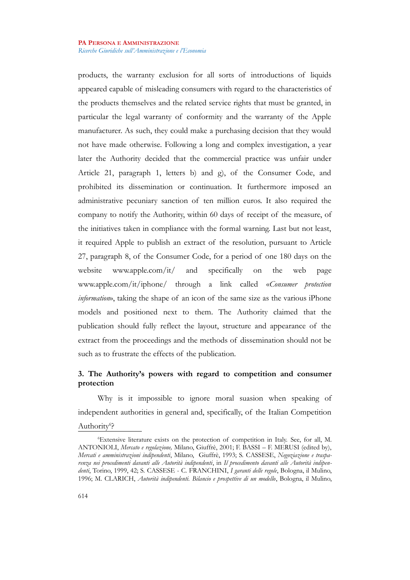products, the warranty exclusion for all sorts of introductions of liquids appeared capable of misleading consumers with regard to the characteristics of the products themselves and the related service rights that must be granted, in particular the legal warranty of conformity and the warranty of the Apple manufacturer. As such, they could make a purchasing decision that they would not have made otherwise. Following a long and complex investigation, a year later the Authority decided that the commercial practice was unfair under Article 21, paragraph 1, letters b) and g), of the Consumer Code, and prohibited its dissemination or continuation. It furthermore imposed an administrative pecuniary sanction of ten million euros. It also required the company to notify the Authority, within 60 days of receipt of the measure, of the initiatives taken in compliance with the formal warning. Last but not least, it required Apple to publish an extract of the resolution, pursuant to Article 27, paragraph 8, of the Consumer Code, for a period of one 180 days on the website www.apple.com/it/ and specifically on the web page www.apple.com/it/iphone/ through a link called «*Consumer protection information*», taking the shape of an icon of the same size as the various iPhone models and positioned next to them. The Authority claimed that the publication should fully reflect the layout, structure and appearance of the extract from the proceedings and the methods of dissemination should not be such as to frustrate the effects of the publication.

# **3. The Authority's powers with regard to competition and consumer protection**

Why is it impossible to ignore moral suasion when speaking of independent authorities in general and, specifically, of the Italian Competition

# Authority<sup>[6](#page-9-0)</sup>?

<span id="page-9-0"></span><sup>6</sup>Extensive literature exists on the protection of competition in Italy. See, for all, M. ANTONIOLI, *Mercato e regolazione,* Milano, Giuffrè, 2001; F. BASSI – F. MERUSI (edited by), *Mercati e amministrazioni indipendenti*, Milano, Giuffrè, 1993; S. CASSESE, *Negoziazione e trasparenza nei procedimenti davanti alle Autorità indipendenti*, in *Il procedimento davanti alle Autorità indipendenti*, Torino, 1999, 42; S. CASSESE - C. FRANCHINI, *I garanti delle regole*, Bologna, il Mulino, 1996; M. CLARICH, *Autorità indipendenti. Bilancio e prospettive di un modello*, Bologna, il Mulino,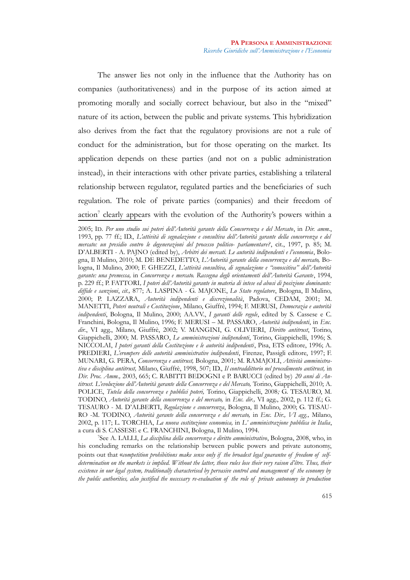The answer lies not only in the influence that the Authority has on companies (authoritativeness) and in the purpose of its action aimed at promoting morally and socially correct behaviour, but also in the "mixed" nature of its action, between the public and private systems. This hybridization also derives from the fact that the regulatory provisions are not a rule of conduct for the administration, but for those operating on the market. Its application depends on these parties (and not on a public administration instead), in their interactions with other private parties, establishing a trilateral relationship between regulator, regulated parties and the beneficiaries of such regulation. The role of private parties (companies) and their freedom of  $\arctan^7$  $\arctan^7$  clearly appears with the evolution of the Authority's powers within a

<span id="page-10-0"></span>7 See A. LALLI, *La disciplina della concorrenza e diritto amministrativo*, Bologna, 2008, who, in his concluding remarks on the relationship between public powers and private autonomy, points out that «*competition prohibitions make sense only if the broadest legal guarantee of freedom of selfdetermination on the markets is implied. Without the latter, those rules lose their very raison d'être. Thus, their existence in our legal system, traditionally characterised by pervasive control and management of the economy by the public authorities, also justified the necessary re-evaluation of the role of private autonomy in production*

<sup>2005;</sup> ID. *Per uno studio sui poteri dell'Autorità garante della Concorrenza e del Mercato*, in *Dir. amm.*, 1993, pp. 77 ff.; ID., *L'attività di segnalazione e consultiva dell'Autorità garante della concorrenza e del mercato: un presidio contro le degenerazioni del processo politico- parlamentare?*, cit., 1997, p. 85; M. D'ALBERTI - A. PAJNO (edited by), *Arbitri dei mercati. Le autorità indipendenti e l'economia*, Bologna, Il Mulino, 2010; M. DE BENEDETTO, *L'Autorità garante della concorrenza e del mercato,* Bologna, Il Mulino, 2000; F. GHEZZI, *L'attività consultiva, di segnalazione e "conoscitiva" dell'Autorità garante: una premessa,* in *Concorrenza e mercato. Rassegna degli orientamenti dell'Autorità Garante*, 1994, p. 229 ff.; P. FATTORI*, I poteri dell'Autorità garante in materia di intese ed abusi di posizione dominante: diffide e sanzioni*, *cit*.*,* 877; A. LASPINA - G. MAJONE, *Lo Stato regolatore*, Bologna, Il Mulino, 2000; P. LAZZARA, *Autorità indipendenti e discrezionalità*, Padova, CEDAM, 2001; M. MANETTI, *Poteri neutrali e Costituzione*, Milano, Giuffrè, 1994; F. MERUSI, *Democrazia e autorità indipendenti*, Bologna, Il Mulino, 2000; AA.VV., *I garanti delle regole*, edited by S. Cassese e C. Franchini, Bologna, Il Mulino, 1996; F. MERUSI – M. PASSARO, *Autorità indipendenti*, in *Enc. dir.*, VI agg., Milano, Giuffrè, 2002; V. MANGINI, G. OLIVIERI, *Diritto antitrust*, Torino, Giappichelli, 2000; M. PASSARO, *Le amministrazioni indipendenti*, Torino, Giappichelli, 1996; S. NICCOLAI, *I poteri garanti della Costituzione e le autorità indipendenti*, Pisa, ETS editore, 1996; A. PREDIERI, *L'erompere delle autorità amministrative indipendenti*, Firenze, Passigli editore, 1997; F. MUNARI, G. PERA, *Concorrenza e antitrust,* Bologna, 2001; M. RAMAJOLI, *Attività amministrativa e disciplina antitrust,* Milano, Giuffrè, 1998, 507; ID., *Il contraddittorio nel procedimento antitrust,* in *Dir. Proc. Amm.,* 2003, 665; C. RABITTI BEDOGNI e P. BARUCCI (edited by) *20 anni di Antitrust. L'evoluzione dell'Autorità garante della Concorrenza e del Mercato,* Torino, Giappichelli, 2010; A. POLICE, *Tutela della concorrenza e pubblici poteri,* Torino, Giappichelli, 2008*;* G. TESAURO, M. TODINO, *Autorità garante della concorrenza e del mercato,* in *Enc. dir.,* VI agg., 2002, p. 112 ff.; G. TESAURO - M. D'ALBERTI, *Regolazione e concorrenza*, Bologna, Il Mulino, 2000; G. TESAU-RO -M. TODINO, *Autorità garante della concorrenza e del mercato,* in *Enc. Dir., VI agg.,* Milano, 2002, p. 117; L. TORCHIA, *La nuova costituzione economica,* in *L' amministrazione pubblica in Italia*, a cura di S. CASSESE e C. FRANCHINI, Bologna, Il Mulino, 1994.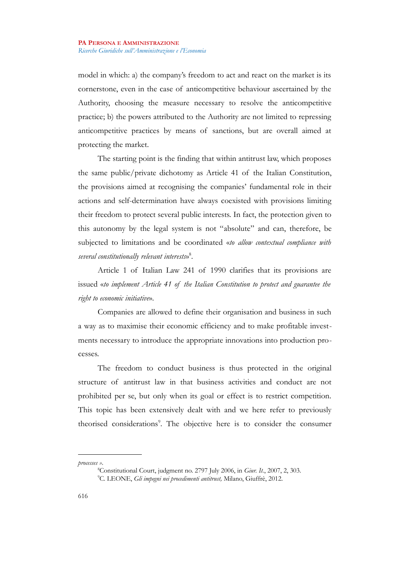model in which: a) the company's freedom to act and react on the market is its cornerstone, even in the case of anticompetitive behaviour ascertained by the Authority, choosing the measure necessary to resolve the anticompetitive practice; b) the powers attributed to the Authority are not limited to repressing anticompetitive practices by means of sanctions, but are overall aimed at protecting the market.

The starting point is the finding that within antitrust law, which proposes the same public/private dichotomy as Article 41 of the Italian Constitution, the provisions aimed at recognising the companies' fundamental role in their actions and self-determination have always coexisted with provisions limiting their freedom to protect several public interests. In fact, the protection given to this autonomy by the legal system is not "absolute" and can, therefore, be subjected to limitations and be coordinated «*to allow contextual compliance with several constitutionally relevant interests*» [8](#page-11-0) .

Article 1 of Italian Law 241 of 1990 clarifies that its provisions are issued «*to implement Article 41 of the Italian Constitution to protect and guarantee the right to economic initiative*».

Companies are allowed to define their organisation and business in such a way as to maximise their economic efficiency and to make profitable investments necessary to introduce the appropriate innovations into production processes.

The freedom to conduct business is thus protected in the original structure of antitrust law in that business activities and conduct are not prohibited per se, but only when its goal or effect is to restrict competition. This topic has been extensively dealt with and we here refer to previously theorised considerations<sup>[9](#page-11-1)</sup>. The objective here is to consider the consumer

*processes »*.

<span id="page-11-1"></span><span id="page-11-0"></span><sup>8</sup>Constitutional Court, judgment no. 2797 July 2006, in *Giur. It.*, 2007, 2, 303. <sup>9</sup>C. LEONE, *Gli impegni nei procedimenti antitrust,* Milano, Giuffrè, 2012.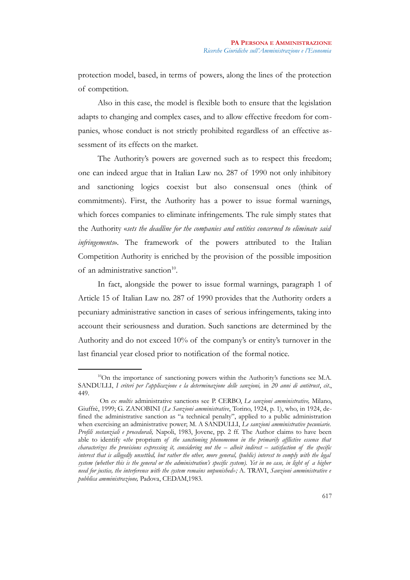protection model, based, in terms of powers, along the lines of the protection of competition.

Also in this case, the model is flexible both to ensure that the legislation adapts to changing and complex cases, and to allow effective freedom for companies, whose conduct is not strictly prohibited regardless of an effective assessment of its effects on the market.

The Authority's powers are governed such as to respect this freedom; one can indeed argue that in Italian Law no. 287 of 1990 not only inhibitory and sanctioning logics coexist but also consensual ones (think of commitments). First, the Authority has a power to issue formal warnings, which forces companies to eliminate infringements. The rule simply states that the Authority «*sets the deadline for the companies and entities concerned to eliminate said infringements*». The framework of the powers attributed to the Italian Competition Authority is enriched by the provision of the possible imposition of an administrative sanction<sup>[10](#page-12-0)</sup>.

In fact, alongside the power to issue formal warnings, paragraph 1 of Article 15 of Italian Law no. 287 of 1990 provides that the Authority orders a pecuniary administrative sanction in cases of serious infringements, taking into account their seriousness and duration. Such sanctions are determined by the Authority and do not exceed 10% of the company's or entity's turnover in the last financial year closed prior to notification of the formal notice.

<span id="page-12-0"></span><sup>&</sup>lt;sup>10</sup>On the importance of sanctioning powers within the Authority's functions see M.A. SANDULLI, *I criteri per l'applicazione e la determinazione delle sanzioni,* in *20 anni di antitrust*, *cit*., 449.

On *ex multis* administrative sanctions see P. CERBO, *Le sanzioni amministrative,* Milano, Giuffrè, 1999; G. ZANOBINI (*Le Sanzioni amministrative*, Torino, 1924, p. 1), who, in 1924, defined the administrative sanction as "a technical penalty", applied to a public administration when exercising an administrative power; M. A SANDULLI, *Le sanzioni amministrative pecuniarie. Profili sostanziali e procedurali,* Napoli, 1983, Jovene, pp. 2 ff. The Author claims to have been able to identify «*the* proprium *of the sanctioning phenomenon in the primarily afflictive essence that characterizes the provisions expressing it, considering not the – albeit indirect – satisfaction of the specific interest that is allegedly unsettled, but rather the other, more general, (public) interest to comply with the legal system (whether this is the general or the administration's specific system). Yet in no case, in light of a higher need for justice, the interference with the system remains unpunished»;* A. TRAVI, *Sanzioni amministrative e pubblica amministrazione,* Padova, CEDAM,1983.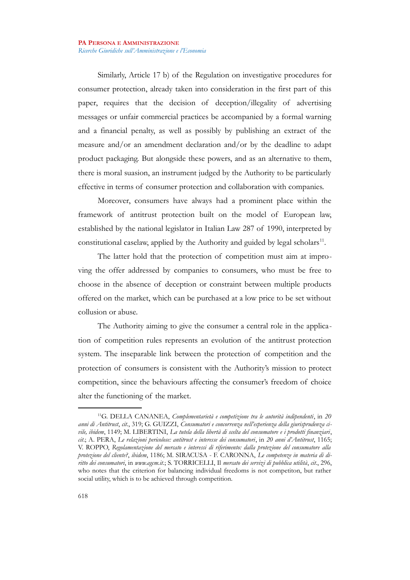Similarly, Article 17 b) of the Regulation on investigative procedures for consumer protection, already taken into consideration in the first part of this paper, requires that the decision of deception/illegality of advertising messages or unfair commercial practices be accompanied by a formal warning and a financial penalty, as well as possibly by publishing an extract of the measure and/or an amendment declaration and/or by the deadline to adapt product packaging. But alongside these powers, and as an alternative to them, there is moral suasion, an instrument judged by the Authority to be particularly effective in terms of consumer protection and collaboration with companies.

Moreover, consumers have always had a prominent place within the framework of antitrust protection built on the model of European law, established by the national legislator in Italian Law 287 of 1990, interpreted by constitutional caselaw, applied by the Authority and guided by legal scholars $^{11}$  $^{11}$  $^{11}$ .

The latter hold that the protection of competition must aim at improving the offer addressed by companies to consumers, who must be free to choose in the absence of deception or constraint between multiple products offered on the market, which can be purchased at a low price to be set without collusion or abuse.

The Authority aiming to give the consumer a central role in the application of competition rules represents an evolution of the antitrust protection system. The inseparable link between the protection of competition and the protection of consumers is consistent with the Authority's mission to protect competition, since the behaviours affecting the consumer's freedom of choice alter the functioning of the market.

<span id="page-13-0"></span><sup>11</sup>G. DELLA CANANEA, *Complementarietà e competizione tra le autorità indipendenti*, in *20 anni di Antitrust*, *cit*., 319; G. GUIZZI, *Consumatori e concorrenza nell'esperienza della giurisprudenza civile, ibidem*, 1149; M. LIBERTINI, *La tutela della libertà di scelta del consumatore e i prodotti finanziari*, *cit*.; A. PERA, *Le relazioni pericolose: antitrust e interesse dei consumatori*, in *20 anni d'Antitrust*, 1165; V. ROPPO, *Regolamentazione del mercato e interessi di riferimento: dalla protezione del consumatore alla protezione del cliente?*, *ibidem*, 1186; M. SIRACUSA - F. CARONNA, *Le competenze in materia di diritto dei consumatori*, in *[www.agcm.it](http://www.agcm.it/)*.; S. TORRICELLI, Il *mercato dei servizi di pubblica utilità*, *cit*., 296, who notes that the criterion for balancing individual freedoms is not competiton, but rather social utility, which is to be achieved through competition.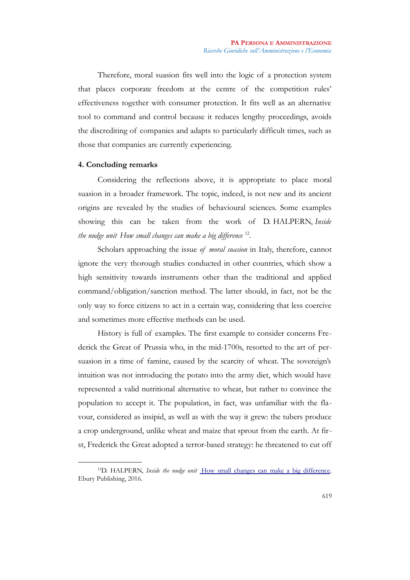Therefore, moral suasion fits well into the logic of a protection system that places corporate freedom at the centre of the competition rules' effectiveness together with consumer protection. It fits well as an alternative tool to command and control because it reduces lengthy proceedings, avoids the discrediting of companies and adapts to particularly difficult times, such as those that companies are currently experiencing.

## **4. Concluding remarks**

Considering the reflections above, it is appropriate to place moral suasion in a broader framework. The topic, indeed, is not new and its ancient origins are revealed by the studies of behavioural sciences. Some examples showing this can be taken from the work of D. HALPERN, *Inside the nudge unit [How small changes can make a big difference](https://www.amazon.it/Inside-Nudge-Unit-changes-difference/dp/0753556553/ref=sr_1_1?adgrpid=50077527502&dchild=1&gclid=CjwKCAiAnIT9BRAmEiwANaoE1bHineG6Q9Hg0WesoUtSVBhEKvXDJuZVcQVaemLOgEDsM2MuDJtRNhoCa3UQAvD_BwE&hvadid=255181297320&hvdev=c&hvlocphy=1008463&hvnetw=g&hvqmt=e&hvrand=984594400973020432&hvtargid=kwd-300504123568&hydadcr=18610_1763852&keywords=inside+the+nudge+unit&qid=1604402182&sr=8-1&tag=slhyin-21)* [12](#page-14-0) *.*

Scholars approaching the issue *of moral suasion* in Italy, therefore, cannot ignore the very thorough studies conducted in other countries, which show a high sensitivity towards instruments other than the traditional and applied command/obligation/sanction method. The latter should, in fact, not be the only way to force citizens to act in a certain way, considering that less coercive and sometimes more effective methods can be used.

History is full of examples. The first example to consider concerns Frederick the Great of Prussia who, in the mid-1700s, resorted to the art of persuasion in a time of famine, caused by the scarcity of wheat. The sovereign's intuition was not introducing the potato into the army diet, which would have represented a valid nutritional alternative to wheat, but rather to convince the population to accept it. The population, in fact, was unfamiliar with the flavour, considered as insipid, as well as with the way it grew: the tubers produce a crop underground, unlike wheat and maize that sprout from the earth. At first, Frederick the Great adopted a terror-based strategy: he threatened to cut off

<span id="page-14-0"></span><sup>&</sup>lt;sup>12</sup>D. HALPERN, *Inside the nudge unit* [How small changes can make a big difference](https://www.amazon.it/Inside-Nudge-Unit-changes-difference/dp/0753556553/ref=sr_1_1?adgrpid=50077527502&dchild=1&gclid=CjwKCAiAnIT9BRAmEiwANaoE1bHineG6Q9Hg0WesoUtSVBhEKvXDJuZVcQVaemLOgEDsM2MuDJtRNhoCa3UQAvD_BwE&hvadid=255181297320&hvdev=c&hvlocphy=1008463&hvnetw=g&hvqmt=e&hvrand=984594400973020432&hvtargid=kwd-300504123568&hydadcr=18610_1763852&keywords=inside+the+nudge+unit&qid=1604402182&sr=8-1&tag=slhyin-21), [Ebury Publishing,](https://www.ibs.it/libri-inglese/editori/ebury-publishing) 2016.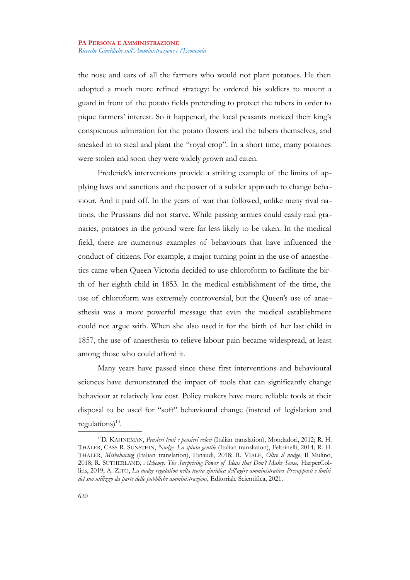the nose and ears of all the farmers who would not plant potatoes. He then adopted a much more refined strategy: he ordered his soldiers to mount a guard in front of the potato fields pretending to protect the tubers in order to pique farmers' interest. So it happened, the local peasants noticed their king's conspicuous admiration for the potato flowers and the tubers themselves, and sneaked in to steal and plant the "royal crop". In a short time, many potatoes were stolen and soon they were widely grown and eaten.

Frederick's interventions provide a striking example of the limits of applying laws and sanctions and the power of a subtler approach to change behaviour. And it paid off. In the years of war that followed, unlike many rival nations, the Prussians did not starve. While passing armies could easily raid granaries, potatoes in the ground were far less likely to be taken. In the medical field, there are numerous examples of behaviours that have influenced the conduct of citizens. For example, a major turning point in the use of anaesthetics came when Queen Victoria decided to use chloroform to facilitate the birth of her eighth child in 1853. In the medical establishment of the time, the use of chloroform was extremely controversial, but the Queen's use of anaesthesia was a more powerful message that even the medical establishment could not argue with. When she also used it for the birth of her last child in 1857, the use of anaesthesia to relieve labour pain became widespread, at least among those who could afford it.

Many years have passed since these first interventions and behavioural sciences have demonstrated the impact of tools that can significantly change behaviour at relatively low cost. Policy makers have more reliable tools at their disposal to be used for "soft" behavioural change (instead of legislation and  $regularions)^{13}$  $regularions)^{13}$  $regularions)^{13}$ .

<span id="page-15-0"></span><sup>13</sup>D. KAHNEMAN, *Pensieri lenti e pensieri veloci* (Italian translation), Mondadori, 2012; R. H. THALER, CASS R. SUNSTEIN, *Nudge. La spinta gentile* (Italian translation), Feltrinelli, 2014; R. H. THALER, *Misbehaving* (Italian translation), Einaudi, 2018; R. VIALE, *Oltre il nudge*, Il Mulino, 2018; R. SUTHERLAND, *Alchemy: The Surprising Power of Ideas that Don't Make Sense,* HarperCollins, 2019; A. ZITO, *La nudge regulation nella teoria giuridica dell'agire amministrativo. Presupposti e limiti del suo utilizzo da parte delle pubbliche amministrazioni*, Editoriale Scientifica, 2021.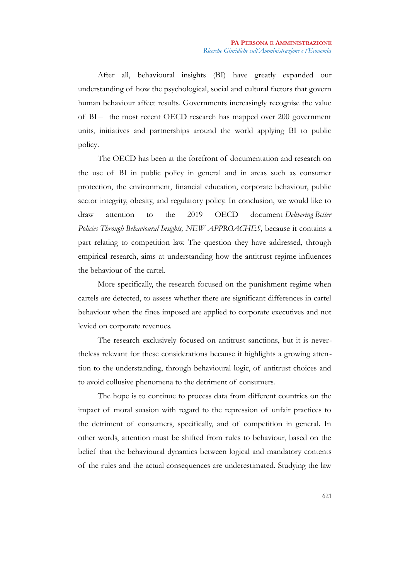After all, behavioural insights (BI) have greatly expanded our understanding of how the psychological, social and cultural factors that govern human behaviour affect results. Governments increasingly recognise the value of BI- the most recent OECD research has mapped over 200 government units, initiatives and partnerships around the world applying BI to public policy.

The OECD has been at the forefront of documentation and research on the use of BI in public policy in general and in areas such as consumer protection, the environment, financial education, corporate behaviour, public sector integrity, obesity, and regulatory policy. In conclusion, we would like to draw attention to the 2019 OECD document *Delivering Better Policies Through Behavioural Insights, NEW APPROACHES,* because it contains a part relating to competition law. The question they have addressed, through empirical research, aims at understanding how the antitrust regime influences the behaviour of the cartel.

More specifically, the research focused on the punishment regime when cartels are detected, to assess whether there are significant differences in cartel behaviour when the fines imposed are applied to corporate executives and not levied on corporate revenues.

The research exclusively focused on antitrust sanctions, but it is nevertheless relevant for these considerations because it highlights a growing attention to the understanding, through behavioural logic, of antitrust choices and to avoid collusive phenomena to the detriment of consumers.

The hope is to continue to process data from different countries on the impact of moral suasion with regard to the repression of unfair practices to the detriment of consumers, specifically, and of competition in general. In other words, attention must be shifted from rules to behaviour, based on the belief that the behavioural dynamics between logical and mandatory contents of the rules and the actual consequences are underestimated. Studying the law